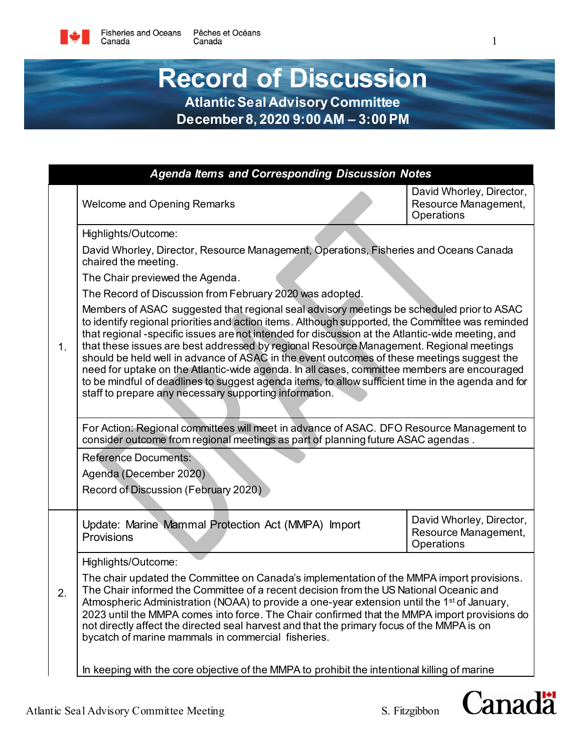## **Record of Discussion Atlantic Seal Advisory Committee**

**December 8, 2020 9:00 AM – 3:00 PM**

|    | <b>Agenda Items and Corresponding Discussion Notes</b>                                                                                                                                                                                                                                                                                                                                                                                                                                                                                                                                                                                                                                                                                                    |                                                                |  |  |
|----|-----------------------------------------------------------------------------------------------------------------------------------------------------------------------------------------------------------------------------------------------------------------------------------------------------------------------------------------------------------------------------------------------------------------------------------------------------------------------------------------------------------------------------------------------------------------------------------------------------------------------------------------------------------------------------------------------------------------------------------------------------------|----------------------------------------------------------------|--|--|
|    | <b>Welcome and Opening Remarks</b>                                                                                                                                                                                                                                                                                                                                                                                                                                                                                                                                                                                                                                                                                                                        | David Whorley, Director,<br>Resource Management,<br>Operations |  |  |
|    | Highlights/Outcome:                                                                                                                                                                                                                                                                                                                                                                                                                                                                                                                                                                                                                                                                                                                                       |                                                                |  |  |
|    | David Whorley, Director, Resource Management, Operations, Fisheries and Oceans Canada<br>chaired the meeting.                                                                                                                                                                                                                                                                                                                                                                                                                                                                                                                                                                                                                                             |                                                                |  |  |
|    | The Chair previewed the Agenda.                                                                                                                                                                                                                                                                                                                                                                                                                                                                                                                                                                                                                                                                                                                           |                                                                |  |  |
|    | The Record of Discussion from February 2020 was adopted.                                                                                                                                                                                                                                                                                                                                                                                                                                                                                                                                                                                                                                                                                                  |                                                                |  |  |
| 1. | Members of ASAC suggested that regional seal advisory meetings be scheduled prior to ASAC<br>to identify regional priorities and action items. Although supported, the Committee was reminded<br>that regional -specific issues are not intended for discussion at the Atlantic-wide meeting, and<br>that these issues are best addressed by regional Resource Management. Regional meetings<br>should be held well in advance of ASAC in the event outcomes of these meetings suggest the<br>need for uptake on the Atlantic-wide agenda. In all cases, committee members are encouraged<br>to be mindful of deadlines to suggest agenda items, to allow sufficient time in the agenda and for<br>staff to prepare any necessary supporting information. |                                                                |  |  |
|    | For Action: Regional committees will meet in advance of ASAC. DFO Resource Management to<br>consider outcome from regional meetings as part of planning future ASAC agendas.                                                                                                                                                                                                                                                                                                                                                                                                                                                                                                                                                                              |                                                                |  |  |
|    | <b>Reference Documents:</b><br>Agenda (December 2020)<br>Record of Discussion (February 2020)                                                                                                                                                                                                                                                                                                                                                                                                                                                                                                                                                                                                                                                             |                                                                |  |  |
|    | Update: Marine Mammal Protection Act (MMPA) Import<br>Provisions                                                                                                                                                                                                                                                                                                                                                                                                                                                                                                                                                                                                                                                                                          | David Whorley, Director,<br>Resource Management,<br>Operations |  |  |
|    | Highlights/Outcome:                                                                                                                                                                                                                                                                                                                                                                                                                                                                                                                                                                                                                                                                                                                                       |                                                                |  |  |
| 2. | The chair updated the Committee on Canada's implementation of the MMPA import provisions.<br>The Chair informed the Committee of a recent decision from the US National Oceanic and<br>Atmospheric Administration (NOAA) to provide a one-year extension until the 1 <sup>st</sup> of January,<br>2023 until the MMPA comes into force. The Chair confirmed that the MMPA import provisions do<br>not directly affect the directed seal harvest and that the primary focus of the MMPA is on<br>bycatch of marine mammals in commercial fisheries.                                                                                                                                                                                                        |                                                                |  |  |
|    | In keeping with the core objective of the MMPA to prohibit the intentional killing of marine                                                                                                                                                                                                                                                                                                                                                                                                                                                                                                                                                                                                                                                              |                                                                |  |  |

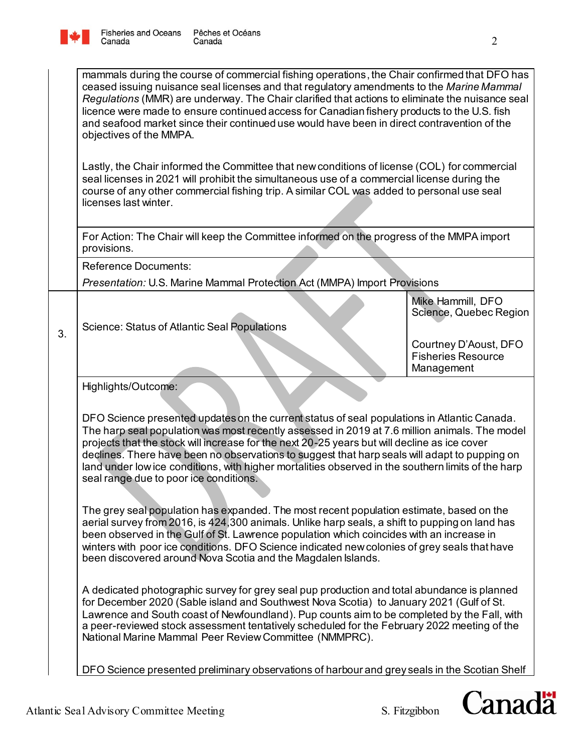

Canada

Lastly, the Chair informed the Committee that new conditions of license (COL) for commercial seal licenses in 2021 will prohibit the simultaneous use of a commercial license during the course of any other commercial fishing trip. A similar COL was added to personal use seal licenses last winter.

For Action: The Chair will keep the Committee informed on the progress of the MMPA import provisions.

Reference Documents:

*Presentation:* U.S. Marine Mammal Protection Act (MMPA) Import Provisions

 $\begin{array}{c|c} 3. & \end{array}$  Science: Status of Atlantic Seal Populations

Mike Hammill, DFO Science, Quebec Region

Courtney D'Aoust, DFO Fisheries Resource Management

Highlights/Outcome:

DFO Science presented updates on the current status of seal populations in Atlantic Canada. The harp seal population was most recently assessed in 2019 at 7.6 million animals. The model projects that the stock will increase for the next 20-25 years but will decline as ice cover declines. There have been no observations to suggest that harp seals will adapt to pupping on land under low ice conditions, with higher mortalities observed in the southern limits of the harp seal range due to poor ice conditions.

The grey seal population has expanded. The most recent population estimate, based on the aerial survey from 2016, is 424,300 animals. Unlike harp seals, a shift to pupping on land has been observed in the Gulf of St. Lawrence population which coincides with an increase in winters with poor ice conditions. DFO Science indicated newcolonies of grey seals that have been discovered around Nova Scotia and the Magdalen Islands.

A dedicated photographic survey for grey seal pup production and total abundance is planned for December 2020 (Sable island and Southwest Nova Scotia) to January 2021 (Gulf of St. Lawrence and South coast of Newfoundland). Pup counts aim to be completed by the Fall, with a peer-reviewed stock assessment tentatively scheduled for the February 2022 meeting of the National Marine Mammal Peer Review Committee (NMMPRC).

DFO Science presented preliminary observations of harbour and grey seals in the Scotian Shelf

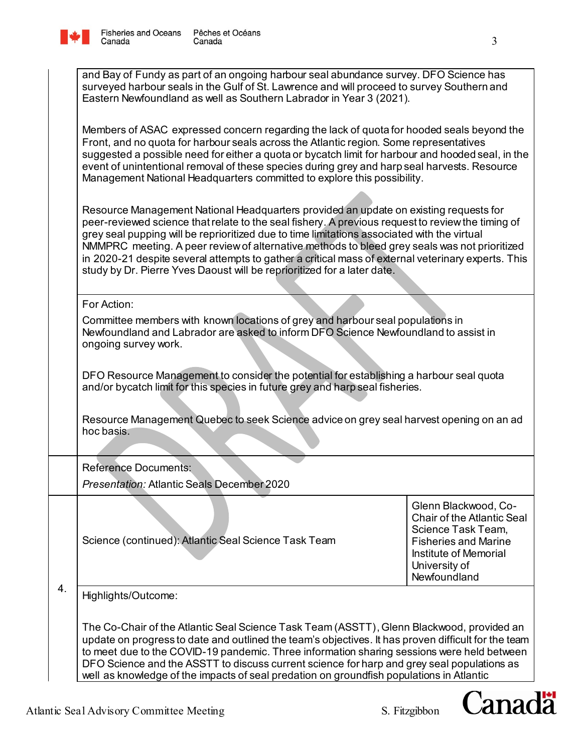

| and Bay of Fundy as part of an ongoing harbour seal abundance survey. DFO Science has<br>surveyed harbour seals in the Gulf of St. Lawrence and will proceed to survey Southern and<br>Eastern Newfoundland as well as Southern Labrador in Year 3 (2021).                                                                                                                                                                                                                                                                                                                 |                                                                                                                    |  |
|----------------------------------------------------------------------------------------------------------------------------------------------------------------------------------------------------------------------------------------------------------------------------------------------------------------------------------------------------------------------------------------------------------------------------------------------------------------------------------------------------------------------------------------------------------------------------|--------------------------------------------------------------------------------------------------------------------|--|
| Members of ASAC expressed concern regarding the lack of quota for hooded seals beyond the<br>Front, and no quota for harbour seals across the Atlantic region. Some representatives<br>suggested a possible need for either a quota or bycatch limit for harbour and hooded seal, in the<br>event of unintentional removal of these species during grey and harp seal harvests. Resource<br>Management National Headquarters committed to explore this possibility.                                                                                                        |                                                                                                                    |  |
| Resource Management National Headquarters provided an update on existing requests for<br>peer-reviewed science that relate to the seal fishery. A previous request to review the timing of<br>grey seal pupping will be reprioritized due to time limitations associated with the virtual<br>NMMPRC meeting. A peer review of alternative methods to bleed grey seals was not prioritized<br>in 2020-21 despite several attempts to gather a critical mass of external veterinary experts. This<br>study by Dr. Pierre Yves Daoust will be reprioritized for a later date. |                                                                                                                    |  |
| For Action:                                                                                                                                                                                                                                                                                                                                                                                                                                                                                                                                                                |                                                                                                                    |  |
| Committee members with known locations of grey and harbour seal populations in<br>Newfoundland and Labrador are asked to inform DFO Science Newfoundland to assist in<br>ongoing survey work.                                                                                                                                                                                                                                                                                                                                                                              |                                                                                                                    |  |
| DFO Resource Management to consider the potential for establishing a harbour seal quota<br>and/or bycatch limit for this species in future grey and harp seal fisheries.                                                                                                                                                                                                                                                                                                                                                                                                   |                                                                                                                    |  |
| Resource Management Quebec to seek Science advice on grey seal harvest opening on an ad<br>hoc basis.                                                                                                                                                                                                                                                                                                                                                                                                                                                                      |                                                                                                                    |  |
| <b>Reference Documents:</b><br>Presentation: Atlantic Seals December 2020                                                                                                                                                                                                                                                                                                                                                                                                                                                                                                  |                                                                                                                    |  |
|                                                                                                                                                                                                                                                                                                                                                                                                                                                                                                                                                                            | Glenn Blackwood, Co-<br><b>Chair of the Atlantic Seal</b>                                                          |  |
| Science (continued): Atlantic Seal Science Task Team                                                                                                                                                                                                                                                                                                                                                                                                                                                                                                                       | Science Task Team,<br><b>Fisheries and Marine</b><br><b>Institute of Memorial</b><br>University of<br>Newfoundland |  |
| Highlights/Outcome:                                                                                                                                                                                                                                                                                                                                                                                                                                                                                                                                                        |                                                                                                                    |  |
| The Co-Chair of the Atlantic Seal Science Task Team (ASSTT), Glenn Blackwood, provided an<br>update on progress to date and outlined the team's objectives. It has proven difficult for the team<br>to meet due to the COVID-19 pandemic. Three information sharing sessions were held between<br>DFO Science and the ASSTT to discuss current science for harp and grey seal populations as                                                                                                                                                                               |                                                                                                                    |  |

well as knowledge of the impacts of seal predation on groundfish populations in Atlantic

4.

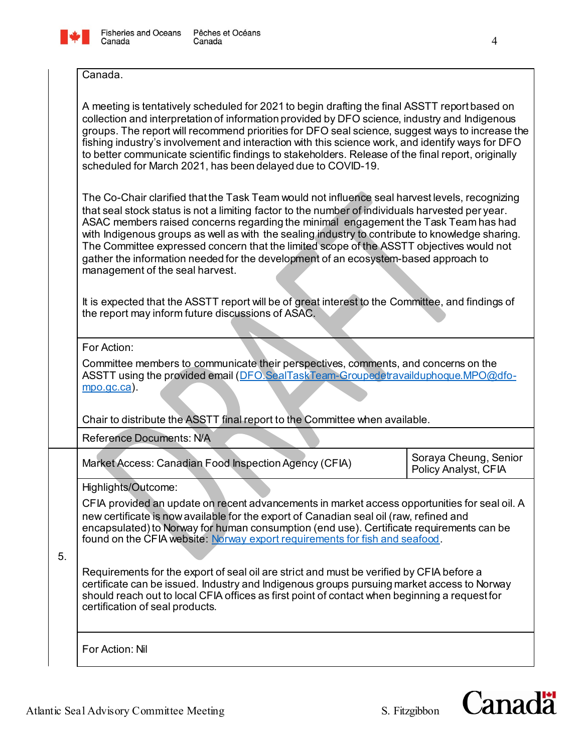

## Canada.

| A meeting is tentatively scheduled for 2021 to begin drafting the final ASSTT report based on<br>collection and interpretation of information provided by DFO science, industry and Indigenous<br>groups. The report will recommend priorities for DFO seal science, suggest ways to increase the<br>fishing industry's involvement and interaction with this science work, and identify ways for DFO<br>to better communicate scientific findings to stakeholders. Release of the final report, originally<br>scheduled for March 2021, has been delayed due to COVID-19.                                                                                                                                              |  |  |  |
|-------------------------------------------------------------------------------------------------------------------------------------------------------------------------------------------------------------------------------------------------------------------------------------------------------------------------------------------------------------------------------------------------------------------------------------------------------------------------------------------------------------------------------------------------------------------------------------------------------------------------------------------------------------------------------------------------------------------------|--|--|--|
| The Co-Chair clarified that the Task Team would not influence seal harvest levels, recognizing<br>that seal stock status is not a limiting factor to the number of individuals harvested per year.<br>ASAC members raised concerns regarding the minimal engagement the Task Team has had<br>with Indigenous groups as well as with the sealing industry to contribute to knowledge sharing.<br>The Committee expressed concern that the limited scope of the ASSTT objectives would not<br>gather the information needed for the development of an ecosystem-based approach to<br>management of the seal harvest.                                                                                                      |  |  |  |
| It is expected that the ASSTT report will be of great interest to the Committee, and findings of<br>the report may inform future discussions of ASAC.                                                                                                                                                                                                                                                                                                                                                                                                                                                                                                                                                                   |  |  |  |
| For Action:<br>Committee members to communicate their perspectives, comments, and concerns on the<br>ASSTT using the provided email (DFO.SealTaskTeam-Groupedetravailduphoque.MPO@dfo-<br>$mpo.qc.ca$ ).                                                                                                                                                                                                                                                                                                                                                                                                                                                                                                                |  |  |  |
| Chair to distribute the ASSTT final report to the Committee when available.<br><b>Reference Documents: N/A</b>                                                                                                                                                                                                                                                                                                                                                                                                                                                                                                                                                                                                          |  |  |  |
| Soraya Cheung, Senior<br>Market Access: Canadian Food Inspection Agency (CFIA)<br>Policy Analyst, CFIA                                                                                                                                                                                                                                                                                                                                                                                                                                                                                                                                                                                                                  |  |  |  |
| Highlights/Outcome:<br>CFIA provided an update on recent advancements in market access opportunities for seal oil. A<br>new certificate is now available for the export of Canadian seal oil (raw, refined and<br>encapsulated) to Norway for human consumption (end use). Certificate requirements can be<br>found on the CFIA website: Norway export requirements for fish and seafood.<br>Requirements for the export of seal oil are strict and must be verified by CFIA before a<br>certificate can be issued. Industry and Indigenous groups pursuing market access to Norway<br>should reach out to local CFIA offices as first point of contact when beginning a request for<br>certification of seal products. |  |  |  |
| For Action: Nil                                                                                                                                                                                                                                                                                                                                                                                                                                                                                                                                                                                                                                                                                                         |  |  |  |

5.

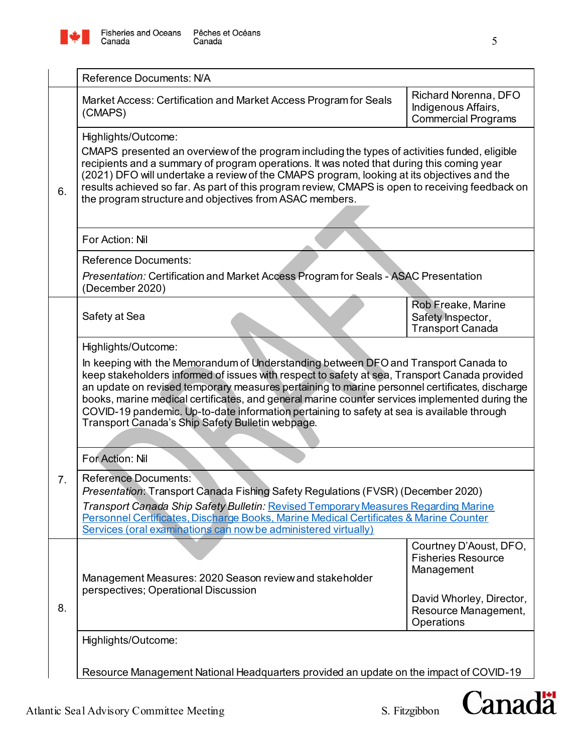

|    | <b>Reference Documents: N/A</b>                                                                                                                                                                                                                                                                                                                                                                                                                                                                                                            |                                                                           |  |
|----|--------------------------------------------------------------------------------------------------------------------------------------------------------------------------------------------------------------------------------------------------------------------------------------------------------------------------------------------------------------------------------------------------------------------------------------------------------------------------------------------------------------------------------------------|---------------------------------------------------------------------------|--|
|    | Market Access: Certification and Market Access Program for Seals<br>(CMAPS)                                                                                                                                                                                                                                                                                                                                                                                                                                                                | Richard Norenna, DFO<br>Indigenous Affairs,<br><b>Commercial Programs</b> |  |
| 6. | Highlights/Outcome:<br>CMAPS presented an overview of the program including the types of activities funded, eligible<br>recipients and a summary of program operations. It was noted that during this coming year<br>(2021) DFO will undertake a review of the CMAPS program, looking at its objectives and the<br>results achieved so far. As part of this program review, CMAPS is open to receiving feedback on<br>the program structure and objectives from ASAC members.                                                              |                                                                           |  |
|    | For Action: Nil                                                                                                                                                                                                                                                                                                                                                                                                                                                                                                                            |                                                                           |  |
|    | <b>Reference Documents:</b><br><i>Presentation:</i> Certification and Market Access Program for Seals - ASAC Presentation<br>(December 2020)                                                                                                                                                                                                                                                                                                                                                                                               |                                                                           |  |
|    | Safety at Sea                                                                                                                                                                                                                                                                                                                                                                                                                                                                                                                              | Rob Freake, Marine<br>Safety Inspector,<br><b>Transport Canada</b>        |  |
|    | Highlights/Outcome:                                                                                                                                                                                                                                                                                                                                                                                                                                                                                                                        |                                                                           |  |
|    | In keeping with the Memorandum of Understanding between DFO and Transport Canada to<br>keep stakeholders informed of issues with respect to safety at sea, Transport Canada provided<br>an update on revised temporary measures pertaining to marine personnel certificates, discharge<br>books, marine medical certificates, and general marine counter services implemented during the<br>COVID-19 pandemic. Up-to-date information pertaining to safety at sea is available through<br>Transport Canada's Ship Safety Bulletin webpage. |                                                                           |  |
|    | For Action: Nil                                                                                                                                                                                                                                                                                                                                                                                                                                                                                                                            |                                                                           |  |
| 7. | Reference Documents:<br>Presentation: Transport Canada Fishing Safety Regulations (FVSR) (December 2020)                                                                                                                                                                                                                                                                                                                                                                                                                                   |                                                                           |  |
|    | Transport Canada Ship Safety Bulletin: Revised Temporary Measures Regarding Marine<br>Personnel Certificates, Discharge Books, Marine Medical Certificates & Marine Counter<br>Services (oral examinations can now be administered virtually)                                                                                                                                                                                                                                                                                              |                                                                           |  |
|    | Management Measures: 2020 Season review and stakeholder<br>perspectives; Operational Discussion                                                                                                                                                                                                                                                                                                                                                                                                                                            | Courtney D'Aoust, DFO,<br><b>Fisheries Resource</b><br>Management         |  |
| 8. |                                                                                                                                                                                                                                                                                                                                                                                                                                                                                                                                            | David Whorley, Director,<br>Resource Management,<br>Operations            |  |
|    | Highlights/Outcome:                                                                                                                                                                                                                                                                                                                                                                                                                                                                                                                        |                                                                           |  |
|    | Resource Management National Headquarters provided an update on the impact of COVID-19                                                                                                                                                                                                                                                                                                                                                                                                                                                     |                                                                           |  |

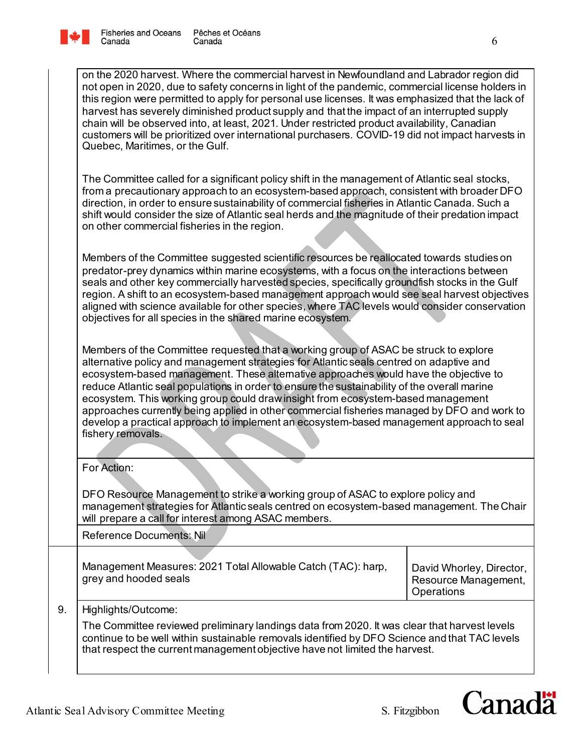

| on the 2020 harvest. Where the commercial harvest in Newfoundland and Labrador region did<br>not open in 2020, due to safety concerns in light of the pandemic, commercial license holders in<br>this region were permitted to apply for personal use licenses. It was emphasized that the lack of<br>harvest has severely diminished product supply and that the impact of an interrupted supply<br>chain will be observed into, at least, 2021. Under restricted product availability, Canadian<br>customers will be prioritized over international purchasers. COVID-19 did not impact harvests in<br>Quebec, Maritimes, or the Gulf.                                    |                                                                |  |
|-----------------------------------------------------------------------------------------------------------------------------------------------------------------------------------------------------------------------------------------------------------------------------------------------------------------------------------------------------------------------------------------------------------------------------------------------------------------------------------------------------------------------------------------------------------------------------------------------------------------------------------------------------------------------------|----------------------------------------------------------------|--|
| The Committee called for a significant policy shift in the management of Atlantic seal stocks,<br>from a precautionary approach to an ecosystem-based approach, consistent with broader DFO<br>direction, in order to ensure sustainability of commercial fisheries in Atlantic Canada. Such a<br>shift would consider the size of Atlantic seal herds and the magnitude of their predation impact<br>on other commercial fisheries in the region.                                                                                                                                                                                                                          |                                                                |  |
| Members of the Committee suggested scientific resources be reallocated towards studies on<br>predator-prey dynamics within marine ecosystems, with a focus on the interactions between<br>seals and other key commercially harvested species, specifically groundfish stocks in the Gulf<br>region. A shift to an ecosystem-based management approach would see seal harvest objectives<br>aligned with science available for other species, where TAC levels would consider conservation<br>objectives for all species in the shared marine ecosystem.                                                                                                                     |                                                                |  |
| Members of the Committee requested that a working group of ASAC be struck to explore<br>alternative policy and management strategies for Atlantic seals centred on adaptive and<br>ecosystem-based management. These alternative approaches would have the objective to<br>reduce Atlantic seal populations in order to ensure the sustainability of the overall marine<br>ecosystem. This working group could draw insight from ecosystem-based management<br>approaches currently being applied in other commercial fisheries managed by DFO and work to<br>develop a practical approach to implement an ecosystem-based management approach to seal<br>fishery removals. |                                                                |  |
| For Action:                                                                                                                                                                                                                                                                                                                                                                                                                                                                                                                                                                                                                                                                 |                                                                |  |
| DFO Resource Management to strike a working group of ASAC to explore policy and<br>management strategies for Atlantic seals centred on ecosystem-based management. The Chair<br>will prepare a call for interest among ASAC members.                                                                                                                                                                                                                                                                                                                                                                                                                                        |                                                                |  |
| Reference Documents: Nil                                                                                                                                                                                                                                                                                                                                                                                                                                                                                                                                                                                                                                                    |                                                                |  |
| Management Measures: 2021 Total Allowable Catch (TAC): harp,<br>grey and hooded seals                                                                                                                                                                                                                                                                                                                                                                                                                                                                                                                                                                                       | David Whorley, Director,<br>Resource Management,<br>Operations |  |
| Highlights/Outcome:                                                                                                                                                                                                                                                                                                                                                                                                                                                                                                                                                                                                                                                         |                                                                |  |
| The Committee reviewed preliminary landings data from 2020. It was clear that harvest levels<br>continue to be well within sustainable removals identified by DFO Science and that TAC levels<br>that respect the current management objective have not limited the harvest.                                                                                                                                                                                                                                                                                                                                                                                                |                                                                |  |

9.